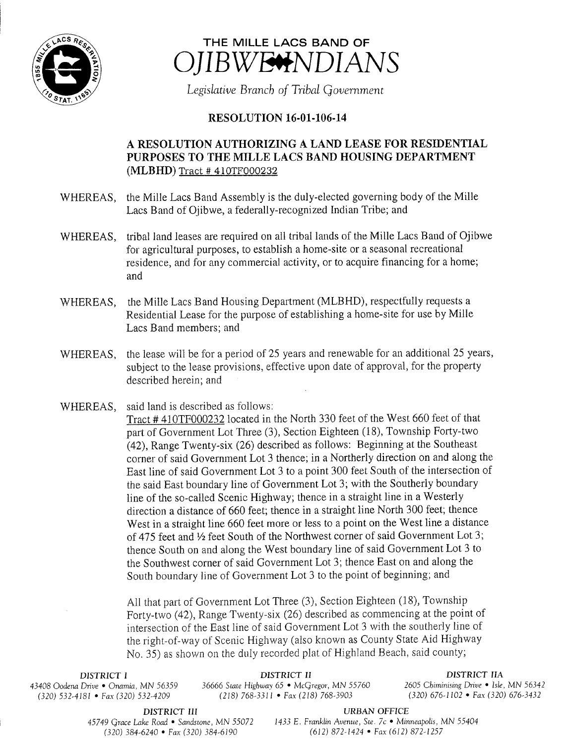



Legislative Branch of Tribal Government

## **RESOLUTION 16-01-106-14**

## A RESOLUTION AUTHORIZING A LAND LEASE FOR RESIDENTIAL PURPOSES TO THE MILLE LACS BAND HOUSING DEPARTMENT MLBHD) Tract # 410TF000232

- WHEREAS, the Mille Lacs Band Assembly is the duly-elected governing body of the Mille Lacs Band of Ojibwe, a federally-recognized Indian Tribe; and
- WHEREAS, tribal land leases are required on all tribal lands of the Mille Lacs Band of Ojibwe for agricultural purposes, to establish <sup>a</sup> home- site or <sup>a</sup> seasonal recreational residence, and for any commercial activity, or to acquire financing for <sup>a</sup> home; and
- WHEREAS, the Mille Lacs Band Housing Department (MLBHD), respectfully requests a Residential Lease for the purpose of establishing a home-site for use by Mille Lacs Band members; and
- WHEREAS, the lease will be for <sup>a</sup> period of 25 years and renewable for an additional 25 years, subject to the lease provisions, effective upon date of approval, for the property described herein; and
- WHEREAS, said land is described as follows: Tract# 410TF000232 located in the North 330 feet of the West 660 feet of that part of Government Lot Three (3), Section Eighteen (18), Township Forty-two 42), Range Twenty-six (26) described as follows: Beginning at the Southeast corner of said Government Lot <sup>3</sup> thence; in <sup>a</sup> Northerly direction on and along the East line of said Government Lot <sup>3</sup> to <sup>a</sup> point 300 feet South of the intersection of the said East boundary line of Government Lot 3; with the Southerly boundary line of the so- called Scenic Highway; thence in <sup>a</sup> straight line in <sup>a</sup> Westerly direction <sup>a</sup> distance of 660 feet; thence in <sup>a</sup> straight line North 300 feet; thence West in a straight line 660 feet more or less to <sup>a</sup> point on the West line <sup>a</sup> distance of 475 feet and 1/2 feet South of the Northwest corner of said Government Lot 3; thence South on and along the West boundary line of said Government Lot <sup>3</sup> to the Southwest corner of said Government Lot 3; thence East on and along the South boundary line of Government Lot <sup>3</sup> to the point of beginning; and

All that part of Government Lot Three (3), Section Eighteen (18), Township Forty-two (42), Range Twenty-six (26) described as commencing at the point of intersection of the East line of said Government Lot <sup>3</sup> with the southerly line of the right-of-way of Scenic Highway ( also known as County State Aid Highway No. 35) as shown on the duly recorded plat of Highland Beach, said county;

 $(320)$  532-4181 • Fax(320) 532-4209

DISTRICT I **DISTRICT II**<br>Drive • Onamia. MN 56359 36666 State Highway 65 • McGregor, MN 55760 2605 Chiminising Drive • Isle, MN 56342 43408 Oodena Drive • Onamia, MN 56359 36666 State Highway 65 • McGregor, MN 55760 2605 Chiminising Drive • Isle, MN 56342<br>(320) 532-4181 • Fax (320) 532-4209 (218) 768-3311 • Fax (218) 768-3903 (320) 676-1102 • Fax (320) 6

DISTRICT III URBAN OFFICE 45749 Grace Lake Road • Sandstone, MN 55072 1433 E. Franklin Avenue, Ste. 7c • Minneapolis, MN 55404 320) 384- 6240 • Fax ( 320) 384- 6190 612) 872- 1424 • Fax ( 612) 872- 1257